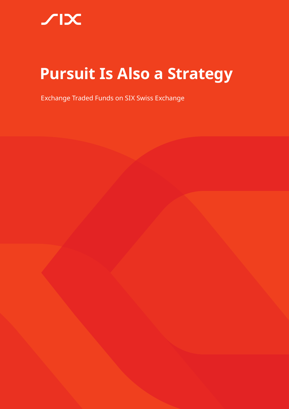# **Pursuit Is Also a Strategy**

Exchange Traded Funds on SIX Swiss Exchange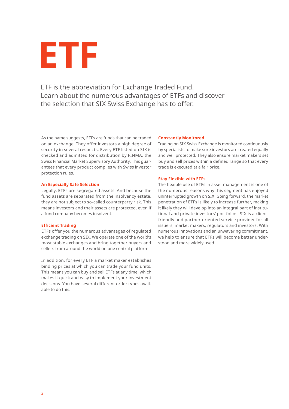

ETF is the abbreviation for Exchange Traded Fund. Learn about the numerous advantages of ETFs and discover the selection that SIX Swiss Exchange has to offer.

As the name suggests, ETFs are funds that can be traded on an exchange. They offer investors a high degree of security in several respects. Every ETF listed on SIX is checked and admitted for distribution by FINMA, the Swiss Financial Market Supervisory Authority. This guarantees that every product complies with Swiss investor protection rules.

#### **An Especially Safe Selection**

Legally, ETFs are segregated assets. And because the fund assets are separated from the insolvency estate, they are not subject to so-called counterparty risk. This means investors and their assets are protected, even if a fund company becomes insolvent.

#### **Efficient Trading**

ETFs offer you the numerous advantages of regulated exchange trading on SIX. We operate one of the world's most stable exchanges and bring together buyers and sellers from around the world on one central platform.

In addition, for every ETF a market maker establishes binding prices at which you can trade your fund units. This means you can buy and sell ETFs at any time, which makes it quick and easy to implement your investment decisions. You have several different order types available to do this.

#### **Constantly Monitored**

Trading on SIX Swiss Exchange is monitored continuously by specialists to make sure investors are treated equally and well protected. They also ensure market makers set buy and sell prices within a defined range so that every trade is executed at a fair price.

#### **Stay Flexible with ETFs**

The flexible use of ETFs in asset management is one of the numerous reasons why this segment has enjoyed uninterrupted growth on SIX. Going forward, the market penetration of ETFs is likely to increase further, making it likely they will develop into an integral part of institutional and private investors' portfolios. SIX is a clientfriendly and partner-oriented service provider for all issuers, market makers, regulators and investors. With numerous innovations and an unwavering commitment, we help to ensure that ETFs will become better understood and more widely used.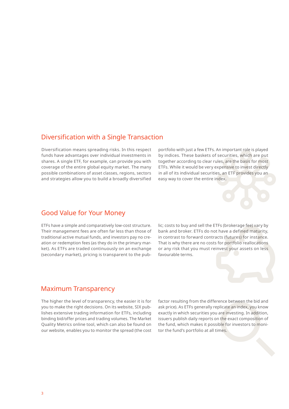### Diversification with a Single Transaction

Diversification means spreading risks. In this respect funds have advantages over individual investments in shares. A single ETF, for example, can provide you with coverage of the entire global equity market. The many possible combinations of asset classes, regions, sectors and strategies allow you to build a broadly diversified portfolio with just a few ETFs. An important role is played by indices. These baskets of securities, which are put together according to clear rules, are the basis for most ETFs. While it would be very expensive to invest directly in all of its individual securities, an ETF provides you an easy way to cover the entire index.

### Good Value for Your Money

ETFs have a simple and comparatively low-cost structure. Their management fees are often far less than those of traditional active mutual funds, and investors pay no creation or redemption fees (as they do in the primary market). As ETFs are traded continuously on an exchange (secondary market), pricing is transparent to the pub-



lic; costs to buy and sell the ETFs (brokerage fee) vary by bank and broker. ETFs do not have a defined maturity, in contrast to forward contracts (futures) for instance. That is why there are no costs for portfolio reallocations or any risk that you must reinvest your assets on less favourable terms.

### Maximum Transparency

The higher the level of transparency, the easier it is for you to make the right decisions. On its website, SIX publishes extensive trading information for ETFs, including binding bid/offer prices and trading volumes. The Market Quality Metrics online tool, which can also be found on our website, enables you to monitor the spread (the cost factor resulting from the difference between the bid and ask price). As ETFs generally replicate an index, you know exactly in which securities you are investing. In addition, issuers publish daily reports on the exact composition of the fund, which makes it possible for investors to monitor the fund's portfolio at all times.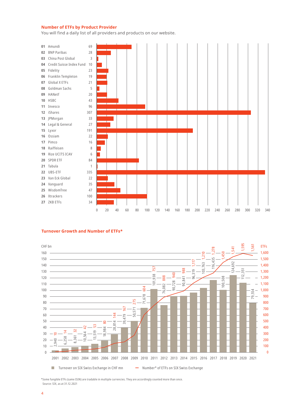### **Number of ETFs by Product Provider**

You will find a daily list of all providers and products on our website.



#### **Turnover Growth and Number of ETFs\***



\*Some fungible ETFs (same ISIN) are tradable in multiple currencies. They are accordingly counted more than once. Source: SIX, as at 31.12.2021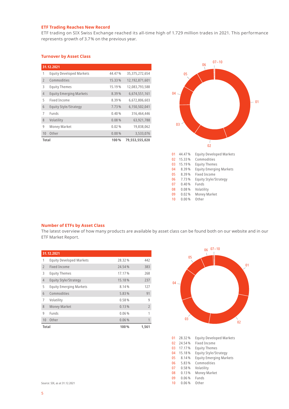### **ETF Trading Reaches New Record**

ETF trading on SIX Swiss Exchange reached its all-time high of 1.729 million trades in 2021. This performance represents growth of 3.7% on the previous year.

### **Turnover by Asset Class**

|                | 31.12.2021                      |        |                   |  |  |  |
|----------------|---------------------------------|--------|-------------------|--|--|--|
| 1              | <b>Equity Developed Markets</b> | 44.47% | 35, 375, 272, 654 |  |  |  |
| $\overline{2}$ | Commodities                     | 15.33% | 12,192,871,601    |  |  |  |
| 3              | <b>Equity Themes</b>            | 15.19% | 12,083,793,588    |  |  |  |
| $\overline{4}$ | <b>Equity Emerging Markets</b>  | 8.39%  | 6,674,551,161     |  |  |  |
| 5              | Fixed Income                    | 8.39%  | 6,672,806,603     |  |  |  |
| 6              | Equity Style/Strategy           | 7.73%  | 6,150,502,041     |  |  |  |
| 7              | <b>Funds</b>                    | 0.40%  | 316,464,446       |  |  |  |
| 8              | Volatility                      | 0.08%  | 63,921,788        |  |  |  |
| 9              | Money Market                    | 0.02%  | 19,838,062        |  |  |  |
| 10             | Other                           | 0.00%  | 3.533.076         |  |  |  |
| Total          |                                 | 100%   | 79,553,555,020    |  |  |  |



#### **Number of ETFs by Asset Class**

The latest overview of how many products are available by asset class can be found both on our website and in our ETF Market Report.

| 31.12.2021           |                                 |        |                |  |
|----------------------|---------------------------------|--------|----------------|--|
| 1                    | <b>Equity Developed Markets</b> | 28.32% | 442            |  |
| $\overline{2}$       | <b>Fixed Income</b>             | 24.54% | 383            |  |
| 3                    | <b>Equity Themes</b>            | 17.17% | 268            |  |
| $\overline{4}$       | <b>Equity Style/Strategy</b>    | 15.18% | 237            |  |
| 5                    | <b>Equity Emerging Markets</b>  | 8.14%  | 127            |  |
| 6                    | Commodities                     | 5.83%  | 91             |  |
| 7                    | Volatility                      | 0.58%  | 9              |  |
| 8                    | <b>Money Market</b>             | 0.13%  | $\overline{2}$ |  |
| 9                    | Funds                           | 0.06%  | 1              |  |
| 10                   | Other                           | 0.06%  | 1              |  |
| <b>Total</b><br>100% |                                 |        | 1,561          |  |



| 0 <sub>1</sub> | 28.32%  | <b>Equity Developed Markets</b> |
|----------------|---------|---------------------------------|
| 02             | 24.54%  | Fixed Income                    |
| 03             | 17.17 % | <b>Equity Themes</b>            |
| 04             | 15.18%  | Equity Style/Strategy           |
| 05             | 8.14%   | <b>Equity Emerging Markets</b>  |
| 06             | 5.83%   | Commodities                     |
| 07             | 0.58%   | Volatility                      |
| 08             | 0.13%   | Money Market                    |
| 09             | 0.06%   | Funds                           |
| 10             | 0.06%   | Other                           |

Source: SIX, as at 31.12.2021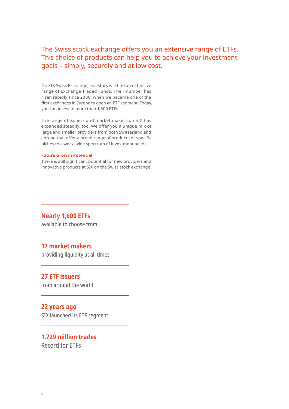## The Swiss stock exchange offers you an extensive range of ETFs. This choice of products can help you to achieve your investment goals – simply, securely and at low cost.

On SIX Swiss Exchange, investors will find an extensive range of Exchange Traded Funds. Their number has risen rapidly since 2000, when we became one of the first exchanges in Europe to open an ETF segment. Today, you can invest in more than 1,600 ETFs.

The range of issuers and market makers on SIX has expanded steadily, too. We offer you a unique mix of large and smaller providers from both Switzerland and abroad that offer a broad range of products or specific niches to cover a wide spectrum of investment needs.

#### **Future Growth Potential**

There is still significant potential for new providers and innovative products at SIX on the Swiss stock exchange.

**Nearly 1,600 ETFs** available to choose from

### **17 market makers**

providing liquidity at all times

### **27 ETF issuers**

from around the world

### **22 years ago**

SIX launched its ETF segment

### **1.729 million trades** Record for ETFs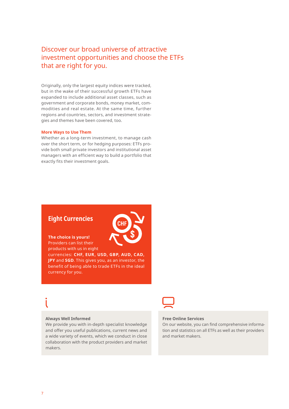## Discover our broad universe of attractive investment opportunities and choose the ETFs that are right for you.

Originally, only the largest equity indices were tracked, but in the wake of their successful growth ETFs have expanded to include additional asset classes, such as government and corporate bonds, money market, commodities and real estate. At the same time, further regions and countries, sectors, and investment strategies and themes have been covered, too.

#### **More Ways to Use Them**

Whether as a long-term investment, to manage cash over the short term, or for hedging purposes: ETFs provide both small private investors and institutional asset managers with an efficient way to build a portfolio that exactly fits their investment goals.

### **Eight Currencies**



**The choice is yours!** Providers can list their

products with us in eight currencies: **CHF, EUR, USD, GBP, AUD, CAD, JPY** and **SGD**. This gives you, as an investor, the benefit of being able to trade ETFs in the ideal currency for you.

#### **Always Well Informed**

We provide you with in-depth specialist knowledge and offer you useful publications, current news and a wide variety of events, which we conduct in close collaboration with the product providers and market makers.



### **Free Online Services**

On our website, you can find comprehensive information and statistics on all ETFs as well as their providers and market makers.